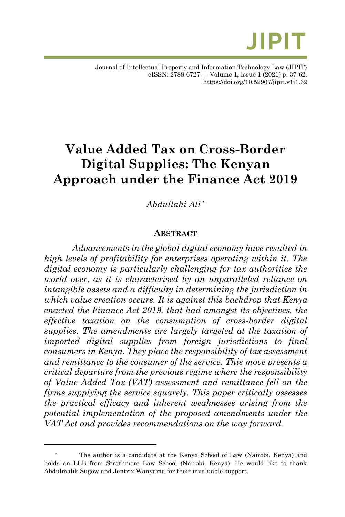

# **Value Added Tax on Cross-Border Digital Supplies: The Kenyan Approach under the Finance Act 2019**

*Abdullahi Ali \**

### **ABSTRACT**

*Advancements in the global digital economy have resulted in high levels of profitability for enterprises operating within it. The digital economy is particularly challenging for tax authorities the world over, as it is characterised by an unparalleled reliance on intangible assets and a difficulty in determining the jurisdiction in which value creation occurs. It is against this backdrop that Kenya enacted the Finance Act 2019, that had amongst its objectives, the effective taxation on the consumption of cross-border digital supplies. The amendments are largely targeted at the taxation of imported digital supplies from foreign jurisdictions to final consumers in Kenya. They place the responsibility of tax assessment and remittance to the consumer of the service. This move presents a critical departure from the previous regime where the responsibility of Value Added Tax (VAT) assessment and remittance fell on the firms supplying the service squarely. This paper critically assesses the practical efficacy and inherent weaknesses arising from the potential implementation of the proposed amendments under the VAT Act and provides recommendations on the way forward.*

The author is a candidate at the Kenya School of Law (Nairobi, Kenya) and holds an LLB from Strathmore Law School (Nairobi, Kenya). He would like to thank Abdulmalik Sugow and Jentrix Wanyama for their invaluable support.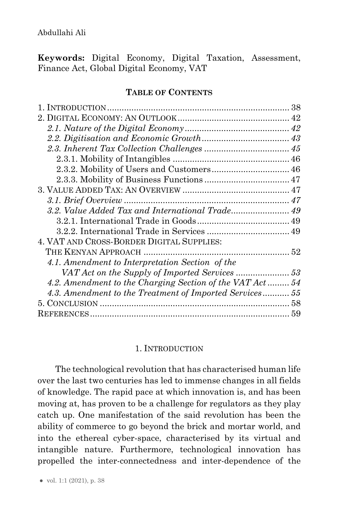**Keywords:** Digital Economy, Digital Taxation, Assessment, Finance Act, Global Digital Economy, VAT

#### **TABLE OF CONTENTS**

| 4. VAT AND CROSS-BORDER DIGITAL SUPPLIES:                |  |
|----------------------------------------------------------|--|
|                                                          |  |
| 4.1. Amendment to Interpretation Section of the          |  |
|                                                          |  |
| 4.2. Amendment to the Charging Section of the VAT Act 54 |  |
| 4.3. Amendment to the Treatment of Imported Services 55  |  |
|                                                          |  |
|                                                          |  |

### 1. INTRODUCTION

<span id="page-1-0"></span>The technological revolution that has characterised human life over the last two centuries has led to immense changes in all fields of knowledge. The rapid pace at which innovation is, and has been moving at, has proven to be a challenge for regulators as they play catch up. One manifestation of the said revolution has been the ability of commerce to go beyond the brick and mortar world, and into the ethereal cyber-space, characterised by its virtual and intangible nature. Furthermore, technological innovation has propelled the inter-connectedness and inter-dependence of the

● vol. 1:1 (2021), p. 38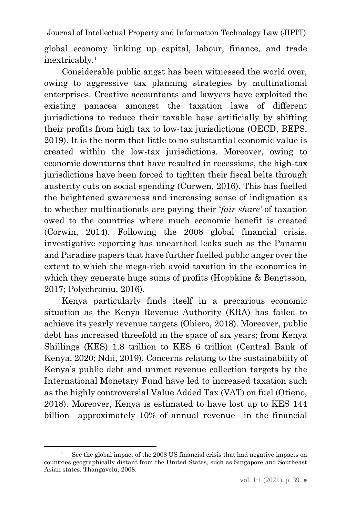Journal of Intellectual Property and Information Technology Law (JIPIT) global economy linking up capital, labour, finance, and trade inextricably. 1

Considerable public angst has been witnessed the world over, owing to aggressive tax planning strategies by multinational enterprises. Creative accountants and lawyers have exploited the existing panacea amongst the taxation laws of different jurisdictions to reduce their taxable base artificially by shifting their profits from high tax to low-tax jurisdictions (OECD, BEPS, 2019). It is the norm that little to no substantial economic value is created within the low-tax jurisdictions. Moreover, owing to economic downturns that have resulted in recessions, the high-tax jurisdictions have been forced to tighten their fiscal belts through austerity cuts on social spending (Curwen, 2016). This has fuelled the heightened awareness and increasing sense of indignation as to whether multinationals are paying their '*fair share'* of taxation owed to the countries where much economic benefit is created (Corwin, 2014). Following the 2008 global financial crisis, investigative reporting has unearthed leaks such as the Panama and Paradise papers that have further fuelled public anger over the extent to which the mega-rich avoid taxation in the economies in which they generate huge sums of profits (Hoppkins & Bengtsson, 2017; Polychroniu, 2016).

Kenya particularly finds itself in a precarious economic situation as the Kenya Revenue Authority (KRA) has failed to achieve its yearly revenue targets (Obiero, 2018). Moreover, public debt has increased threefold in the space of six years; from Kenya Shillings (KES) 1.8 trillion to KES 6 trillion (Central Bank of Kenya, 2020; Ndii, 2019). Concerns relating to the sustainability of Kenya's public debt and unmet revenue collection targets by the International Monetary Fund have led to increased taxation such as the highly controversial Value Added Tax (VAT) on fuel (Otieno, 2018). Moreover, Kenya is estimated to have lost up to KES 144 billion—approximately 10% of annual revenue—in the financial

<sup>&</sup>lt;sup>1</sup> See the global impact of the 2008 US financial crisis that had negative impacts on countries geographically distant from the United States, such as Singapore and Southeast Asian states. Thangavelu, 2008.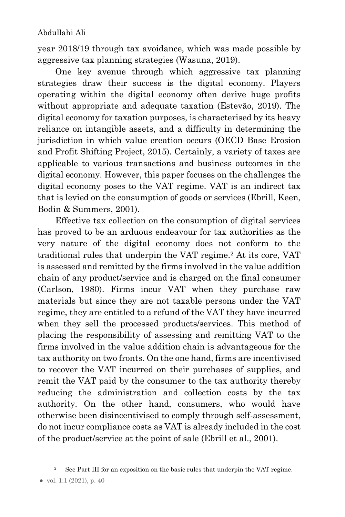year 2018/19 through tax avoidance, which was made possible by aggressive tax planning strategies (Wasuna, 2019).

One key avenue through which aggressive tax planning strategies draw their success is the digital economy. Players operating within the digital economy often derive huge profits without appropriate and adequate taxation (Estevão, 2019). The digital economy for taxation purposes, is characterised by its heavy reliance on intangible assets, and a difficulty in determining the jurisdiction in which value creation occurs (OECD Base Erosion and Profit Shifting Project, 2015). Certainly, a variety of taxes are applicable to various transactions and business outcomes in the digital economy. However, this paper focuses on the challenges the digital economy poses to the VAT regime. VAT is an indirect tax that is levied on the consumption of goods or services (Ebrill, Keen, Bodin & Summers, 2001).

Effective tax collection on the consumption of digital services has proved to be an arduous endeavour for tax authorities as the very nature of the digital economy does not conform to the traditional rules that underpin the VAT regime.<sup>2</sup> At its core, VAT is assessed and remitted by the firms involved in the value addition chain of any product/service and is charged on the final consumer (Carlson, 1980). Firms incur VAT when they purchase raw materials but since they are not taxable persons under the VAT regime, they are entitled to a refund of the VAT they have incurred when they sell the processed products/services. This method of placing the responsibility of assessing and remitting VAT to the firms involved in the value addition chain is advantageous for the tax authority on two fronts. On the one hand, firms are incentivised to recover the VAT incurred on their purchases of supplies, and remit the VAT paid by the consumer to the tax authority thereby reducing the administration and collection costs by the tax authority. On the other hand, consumers, who would have otherwise been disincentivised to comply through self-assessment, do not incur compliance costs as VAT is already included in the cost of the product/service at the point of sale (Ebrill et al., 2001).

See Part III for an exposition on the basic rules that underpin the VAT regime.

<sup>●</sup> vol. 1:1 (2021), p. 40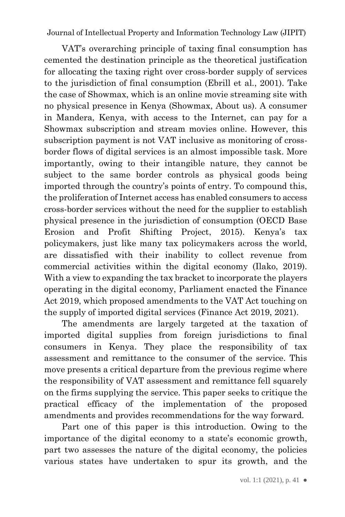VAT's overarching principle of taxing final consumption has cemented the destination principle as the theoretical justification for allocating the taxing right over cross-border supply of services to the jurisdiction of final consumption (Ebrill et al., 2001). Take the case of Showmax, which is an online movie streaming site with no physical presence in Kenya (Showmax, About us). A consumer in Mandera, Kenya, with access to the Internet, can pay for a Showmax subscription and stream movies online. However, this subscription payment is not VAT inclusive as monitoring of crossborder flows of digital services is an almost impossible task. More importantly, owing to their intangible nature, they cannot be subject to the same border controls as physical goods being imported through the country's points of entry. To compound this, the proliferation of Internet access has enabled consumers to access cross-border services without the need for the supplier to establish physical presence in the jurisdiction of consumption (OECD Base Erosion and Profit Shifting Project, 2015). Kenya's tax policymakers, just like many tax policymakers across the world, are dissatisfied with their inability to collect revenue from commercial activities within the digital economy (Ilako, 2019). With a view to expanding the tax bracket to incorporate the players operating in the digital economy, Parliament enacted the Finance Act 2019, which proposed amendments to the VAT Act touching on the supply of imported digital services (Finance Act 2019, 2021).

The amendments are largely targeted at the taxation of imported digital supplies from foreign jurisdictions to final consumers in Kenya. They place the responsibility of tax assessment and remittance to the consumer of the service. This move presents a critical departure from the previous regime where the responsibility of VAT assessment and remittance fell squarely on the firms supplying the service. This paper seeks to critique the practical efficacy of the implementation of the proposed amendments and provides recommendations for the way forward.

Part one of this paper is this introduction. Owing to the importance of the digital economy to a state's economic growth, part two assesses the nature of the digital economy, the policies various states have undertaken to spur its growth, and the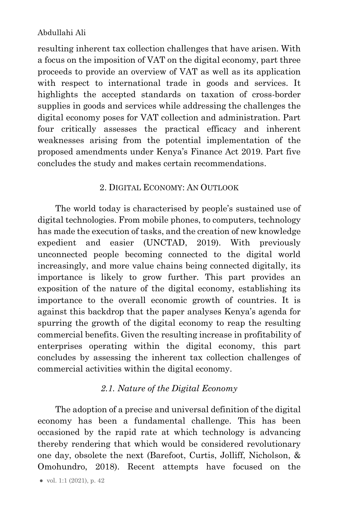resulting inherent tax collection challenges that have arisen. With a focus on the imposition of VAT on the digital economy, part three proceeds to provide an overview of VAT as well as its application with respect to international trade in goods and services. It highlights the accepted standards on taxation of cross-border supplies in goods and services while addressing the challenges the digital economy poses for VAT collection and administration. Part four critically assesses the practical efficacy and inherent weaknesses arising from the potential implementation of the proposed amendments under Kenya's Finance Act 2019. Part five concludes the study and makes certain recommendations.

## 2. DIGITAL ECONOMY: AN OUTLOOK

<span id="page-5-0"></span>The world today is characterised by people's sustained use of digital technologies. From mobile phones, to computers, technology has made the execution of tasks, and the creation of new knowledge expedient and easier (UNCTAD, 2019). With previously unconnected people becoming connected to the digital world increasingly, and more value chains being connected digitally, its importance is likely to grow further. This part provides an exposition of the nature of the digital economy, establishing its importance to the overall economic growth of countries. It is against this backdrop that the paper analyses Kenya's agenda for spurring the growth of the digital economy to reap the resulting commercial benefits. Given the resulting increase in profitability of enterprises operating within the digital economy, this part concludes by assessing the inherent tax collection challenges of commercial activities within the digital economy.

### *2.1. Nature of the Digital Economy*

<span id="page-5-1"></span>The adoption of a precise and universal definition of the digital economy has been a fundamental challenge. This has been occasioned by the rapid rate at which technology is advancing thereby rendering that which would be considered revolutionary one day, obsolete the next (Barefoot, Curtis, Jolliff, Nicholson, & Omohundro, 2018). Recent attempts have focused on the

<sup>●</sup> vol. 1:1 (2021), p. 42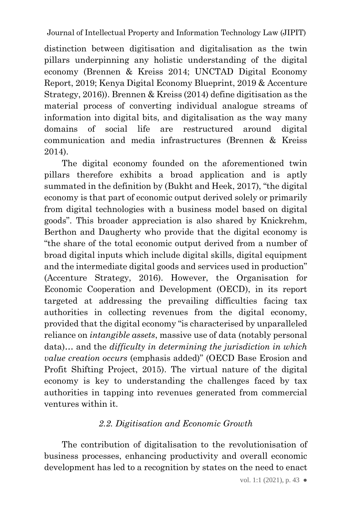distinction between digitisation and digitalisation as the twin pillars underpinning any holistic understanding of the digital economy (Brennen & Kreiss 2014; UNCTAD Digital Economy Report, 2019; Kenya Digital Economy Blueprint, 2019 & Accenture Strategy, 2016)). Brennen & Kreiss (2014) define digitisation as the material process of converting individual analogue streams of information into digital bits, and digitalisation as the way many domains of social life are restructured around digital communication and media infrastructures (Brennen & Kreiss 2014).

The digital economy founded on the aforementioned twin pillars therefore exhibits a broad application and is aptly summated in the definition by (Bukht and Heek, 2017), "the digital economy is that part of economic output derived solely or primarily from digital technologies with a business model based on digital goods". This broader appreciation is also shared by Knickrehm, Berthon and Daugherty who provide that the digital economy is "the share of the total economic output derived from a number of broad digital inputs which include digital skills, digital equipment and the intermediate digital goods and services used in production" (Accenture Strategy, 2016). However, the Organisation for Economic Cooperation and Development (OECD), in its report targeted at addressing the prevailing difficulties facing tax authorities in collecting revenues from the digital economy, provided that the digital economy "is characterised by unparalleled reliance on *intangible assets*, massive use of data (notably personal data)… and the *difficulty in determining the jurisdiction in which value creation occurs* (emphasis added)" (OECD Base Erosion and Profit Shifting Project, 2015). The virtual nature of the digital economy is key to understanding the challenges faced by tax authorities in tapping into revenues generated from commercial ventures within it.

# *2.2. Digitisation and Economic Growth*

<span id="page-6-0"></span>The contribution of digitalisation to the revolutionisation of business processes, enhancing productivity and overall economic development has led to a recognition by states on the need to enact

vol. 1:1 (2021), p. 43  $\bullet$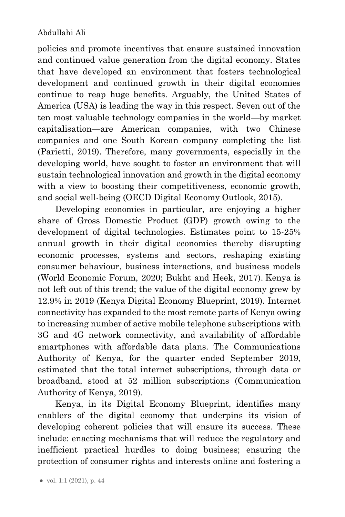policies and promote incentives that ensure sustained innovation and continued value generation from the digital economy. States that have developed an environment that fosters technological development and continued growth in their digital economies continue to reap huge benefits. Arguably, the United States of America (USA) is leading the way in this respect. Seven out of the ten most valuable technology companies in the world—by market capitalisation—are American companies, with two Chinese companies and one South Korean company completing the list (Parietti, 2019). Therefore, many governments, especially in the developing world, have sought to foster an environment that will sustain technological innovation and growth in the digital economy with a view to boosting their competitiveness, economic growth, and social well-being (OECD Digital Economy Outlook, 2015).

Developing economies in particular, are enjoying a higher share of Gross Domestic Product (GDP) growth owing to the development of digital technologies. Estimates point to 15-25% annual growth in their digital economies thereby disrupting economic processes, systems and sectors, reshaping existing consumer behaviour, business interactions, and business models (World Economic Forum, 2020; Bukht and Heek, 2017). Kenya is not left out of this trend; the value of the digital economy grew by 12.9% in 2019 (Kenya Digital Economy Blueprint, 2019). Internet connectivity has expanded to the most remote parts of Kenya owing to increasing number of active mobile telephone subscriptions with 3G and 4G network connectivity, and availability of affordable smartphones with affordable data plans. The Communications Authority of Kenya, for the quarter ended September 2019, estimated that the total internet subscriptions, through data or broadband, stood at 52 million subscriptions (Communication Authority of Kenya, 2019).

Kenya, in its Digital Economy Blueprint, identifies many enablers of the digital economy that underpins its vision of developing coherent policies that will ensure its success. These include: enacting mechanisms that will reduce the regulatory and inefficient practical hurdles to doing business; ensuring the protection of consumer rights and interests online and fostering a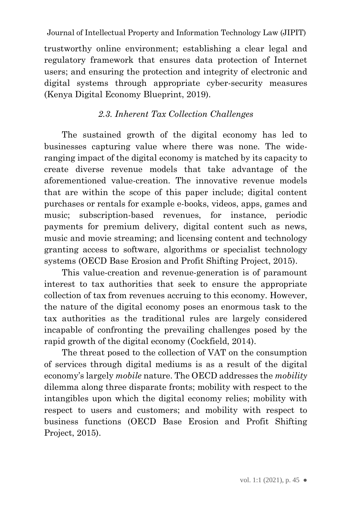trustworthy online environment; establishing a clear legal and regulatory framework that ensures data protection of Internet users; and ensuring the protection and integrity of electronic and digital systems through appropriate cyber-security measures (Kenya Digital Economy Blueprint, 2019).

# *2.3. Inherent Tax Collection Challenges*

<span id="page-8-0"></span>The sustained growth of the digital economy has led to businesses capturing value where there was none. The wideranging impact of the digital economy is matched by its capacity to create diverse revenue models that take advantage of the aforementioned value-creation. The innovative revenue models that are within the scope of this paper include; digital content purchases or rentals for example e-books, videos, apps, games and music; subscription-based revenues, for instance, periodic payments for premium delivery, digital content such as news, music and movie streaming; and licensing content and technology granting access to software, algorithms or specialist technology systems (OECD Base Erosion and Profit Shifting Project, 2015).

This value-creation and revenue-generation is of paramount interest to tax authorities that seek to ensure the appropriate collection of tax from revenues accruing to this economy. However, the nature of the digital economy poses an enormous task to the tax authorities as the traditional rules are largely considered incapable of confronting the prevailing challenges posed by the rapid growth of the digital economy (Cockfield, 2014).

The threat posed to the collection of VAT on the consumption of services through digital mediums is as a result of the digital economy's largely *mobile* nature. The OECD addresses the *mobility* dilemma along three disparate fronts; mobility with respect to the intangibles upon which the digital economy relies; mobility with respect to users and customers; and mobility with respect to business functions (OECD Base Erosion and Profit Shifting Project, 2015).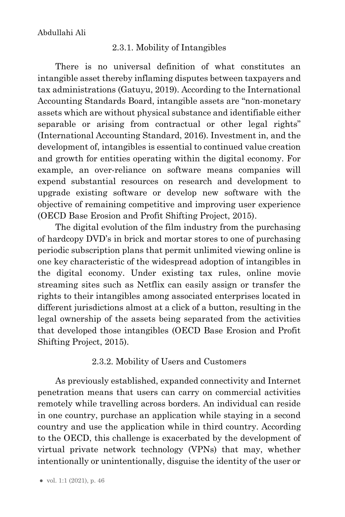## 2.3.1. Mobility of Intangibles

<span id="page-9-0"></span>There is no universal definition of what constitutes an intangible asset thereby inflaming disputes between taxpayers and tax administrations (Gatuyu, 2019). According to the International Accounting Standards Board, intangible assets are "non-monetary assets which are without physical substance and identifiable either separable or arising from contractual or other legal rights" (International Accounting Standard, 2016). Investment in, and the development of, intangibles is essential to continued value creation and growth for entities operating within the digital economy. For example, an over-reliance on software means companies will expend substantial resources on research and development to upgrade existing software or develop new software with the objective of remaining competitive and improving user experience (OECD Base Erosion and Profit Shifting Project, 2015).

The digital evolution of the film industry from the purchasing of hardcopy DVD's in brick and mortar stores to one of purchasing periodic subscription plans that permit unlimited viewing online is one key characteristic of the widespread adoption of intangibles in the digital economy. Under existing tax rules, online movie streaming sites such as Netflix can easily assign or transfer the rights to their intangibles among associated enterprises located in different jurisdictions almost at a click of a button, resulting in the legal ownership of the assets being separated from the activities that developed those intangibles (OECD Base Erosion and Profit Shifting Project, 2015).

## 2.3.2. Mobility of Users and Customers

<span id="page-9-1"></span>As previously established, expanded connectivity and Internet penetration means that users can carry on commercial activities remotely while travelling across borders. An individual can reside in one country, purchase an application while staying in a second country and use the application while in third country. According to the OECD, this challenge is exacerbated by the development of virtual private network technology (VPNs) that may, whether intentionally or unintentionally, disguise the identity of the user or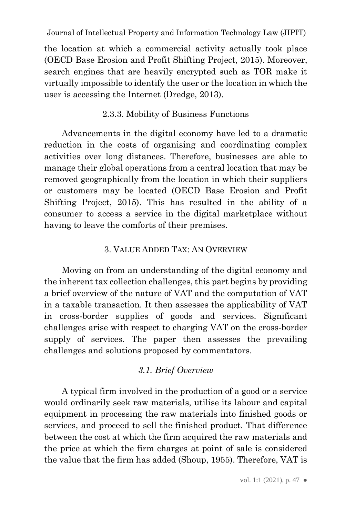the location at which a commercial activity actually took place (OECD Base Erosion and Profit Shifting Project, 2015). Moreover, search engines that are heavily encrypted such as TOR make it virtually impossible to identify the user or the location in which the user is accessing the Internet (Dredge, 2013).

## 2.3.3. Mobility of Business Functions

<span id="page-10-0"></span>Advancements in the digital economy have led to a dramatic reduction in the costs of organising and coordinating complex activities over long distances. Therefore, businesses are able to manage their global operations from a central location that may be removed geographically from the location in which their suppliers or customers may be located (OECD Base Erosion and Profit Shifting Project, 2015). This has resulted in the ability of a consumer to access a service in the digital marketplace without having to leave the comforts of their premises.

### 3. VALUE ADDED TAX: AN OVERVIEW

<span id="page-10-1"></span>Moving on from an understanding of the digital economy and the inherent tax collection challenges, this part begins by providing a brief overview of the nature of VAT and the computation of VAT in a taxable transaction. It then assesses the applicability of VAT in cross-border supplies of goods and services. Significant challenges arise with respect to charging VAT on the cross-border supply of services. The paper then assesses the prevailing challenges and solutions proposed by commentators.

### *3.1. Brief Overview*

<span id="page-10-2"></span>A typical firm involved in the production of a good or a service would ordinarily seek raw materials, utilise its labour and capital equipment in processing the raw materials into finished goods or services, and proceed to sell the finished product. That difference between the cost at which the firm acquired the raw materials and the price at which the firm charges at point of sale is considered the value that the firm has added (Shoup, 1955). Therefore, VAT is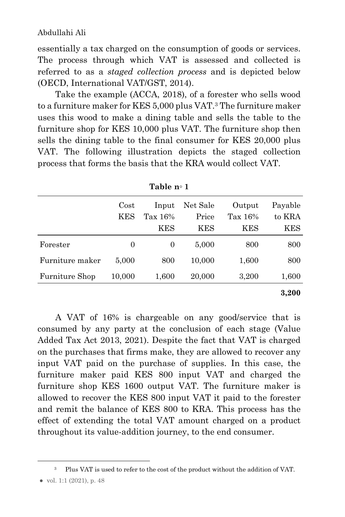essentially a tax charged on the consumption of goods or services. The process through which VAT is assessed and collected is referred to as a *staged collection process* and is depicted below (OECD, International VAT/GST, 2014).

Take the example (ACCA, 2018), of a forester who sells wood to a furniture maker for KES 5,000 plus VAT.<sup>3</sup> The furniture maker uses this wood to make a dining table and sells the table to the furniture shop for KES 10,000 plus VAT. The furniture shop then sells the dining table to the final consumer for KES 20,000 plus VAT. The following illustration depicts the staged collection process that forms the basis that the KRA would collect VAT.

|                       | Cost       | Input   | Net Sale | Output  | Payable    |
|-----------------------|------------|---------|----------|---------|------------|
|                       | <b>KES</b> | Tax 16% | Price    | Tax 16% | to KRA     |
|                       |            | KES     | KES      | KES     | <b>KES</b> |
| Forester              | 0          | 0       | 5,000    | 800     | 800        |
| Furniture maker       | 5,000      | 800     | 10,000   | 1,600   | 800        |
| <b>Furniture Shop</b> | 10,000     | 1,600   | 20,000   | 3,200   | 1,600      |
|                       |            |         |          |         | 3,200      |

**Table n⸰ 1**

A VAT of 16% is chargeable on any good/service that is consumed by any party at the conclusion of each stage (Value Added Tax Act 2013, 2021). Despite the fact that VAT is charged on the purchases that firms make, they are allowed to recover any input VAT paid on the purchase of supplies. In this case, the furniture maker paid KES 800 input VAT and charged the furniture shop KES 1600 output VAT. The furniture maker is allowed to recover the KES 800 input VAT it paid to the forester and remit the balance of KES 800 to KRA. This process has the effect of extending the total VAT amount charged on a product throughout its value-addition journey, to the end consumer.

<sup>3</sup> Plus VAT is used to refer to the cost of the product without the addition of VAT.

<sup>●</sup> vol. 1:1 (2021), p. 48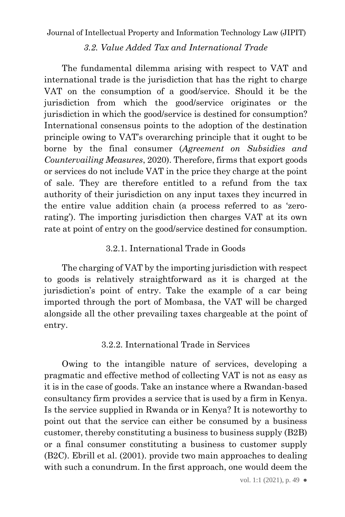## *3.2. Value Added Tax and International Trade*

<span id="page-12-0"></span>The fundamental dilemma arising with respect to VAT and international trade is the jurisdiction that has the right to charge VAT on the consumption of a good/service. Should it be the jurisdiction from which the good/service originates or the jurisdiction in which the good/service is destined for consumption? International consensus points to the adoption of the destination principle owing to VAT's overarching principle that it ought to be borne by the final consumer (*Agreement on Subsidies and Countervailing Measures*, 2020). Therefore, firms that export goods or services do not include VAT in the price they charge at the point of sale. They are therefore entitled to a refund from the tax authority of their jurisdiction on any input taxes they incurred in the entire value addition chain (a process referred to as 'zerorating'). The importing jurisdiction then charges VAT at its own rate at point of entry on the good/service destined for consumption.

# 3.2.1. International Trade in Goods

<span id="page-12-1"></span>The charging of VAT by the importing jurisdiction with respect to goods is relatively straightforward as it is charged at the jurisdiction's point of entry. Take the example of a car being imported through the port of Mombasa, the VAT will be charged alongside all the other prevailing taxes chargeable at the point of entry.

### 3.2.2. International Trade in Services

<span id="page-12-2"></span>Owing to the intangible nature of services, developing a pragmatic and effective method of collecting VAT is not as easy as it is in the case of goods. Take an instance where a Rwandan-based consultancy firm provides a service that is used by a firm in Kenya. Is the service supplied in Rwanda or in Kenya? It is noteworthy to point out that the service can either be consumed by a business customer, thereby constituting a business to business supply (B2B) or a final consumer constituting a business to customer supply (B2C). Ebrill et al. (2001). provide two main approaches to dealing with such a conundrum. In the first approach, one would deem the

vol. 1:1 (2021), p. 49  $\bullet$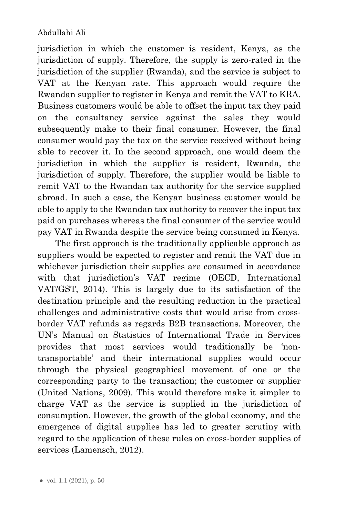jurisdiction in which the customer is resident, Kenya, as the jurisdiction of supply. Therefore, the supply is zero-rated in the jurisdiction of the supplier (Rwanda), and the service is subject to VAT at the Kenyan rate. This approach would require the Rwandan supplier to register in Kenya and remit the VAT to KRA. Business customers would be able to offset the input tax they paid on the consultancy service against the sales they would subsequently make to their final consumer. However, the final consumer would pay the tax on the service received without being able to recover it. In the second approach, one would deem the jurisdiction in which the supplier is resident, Rwanda, the jurisdiction of supply. Therefore, the supplier would be liable to remit VAT to the Rwandan tax authority for the service supplied abroad. In such a case, the Kenyan business customer would be able to apply to the Rwandan tax authority to recover the input tax paid on purchases whereas the final consumer of the service would pay VAT in Rwanda despite the service being consumed in Kenya.

The first approach is the traditionally applicable approach as suppliers would be expected to register and remit the VAT due in whichever jurisdiction their supplies are consumed in accordance with that jurisdiction's VAT regime (OECD, International VAT/GST, 2014). This is largely due to its satisfaction of the destination principle and the resulting reduction in the practical challenges and administrative costs that would arise from crossborder VAT refunds as regards B2B transactions. Moreover, the UN's Manual on Statistics of International Trade in Services provides that most services would traditionally be 'nontransportable' and their international supplies would occur through the physical geographical movement of one or the corresponding party to the transaction; the customer or supplier (United Nations, 2009). This would therefore make it simpler to charge VAT as the service is supplied in the jurisdiction of consumption. However, the growth of the global economy, and the emergence of digital supplies has led to greater scrutiny with regard to the application of these rules on cross-border supplies of services (Lamensch, 2012).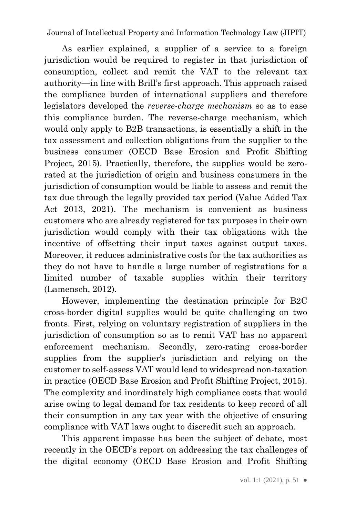As earlier explained, a supplier of a service to a foreign jurisdiction would be required to register in that jurisdiction of consumption, collect and remit the VAT to the relevant tax authority—in line with Brill's first approach. This approach raised the compliance burden of international suppliers and therefore legislators developed the *reverse-charge mechanism* so as to ease this compliance burden. The reverse-charge mechanism, which would only apply to B2B transactions, is essentially a shift in the tax assessment and collection obligations from the supplier to the business consumer (OECD Base Erosion and Profit Shifting Project, 2015). Practically, therefore, the supplies would be zerorated at the jurisdiction of origin and business consumers in the jurisdiction of consumption would be liable to assess and remit the tax due through the legally provided tax period (Value Added Tax Act 2013, 2021). The mechanism is convenient as business customers who are already registered for tax purposes in their own jurisdiction would comply with their tax obligations with the incentive of offsetting their input taxes against output taxes. Moreover, it reduces administrative costs for the tax authorities as they do not have to handle a large number of registrations for a limited number of taxable supplies within their territory (Lamensch, 2012).

However, implementing the destination principle for B2C cross-border digital supplies would be quite challenging on two fronts. First, relying on voluntary registration of suppliers in the jurisdiction of consumption so as to remit VAT has no apparent enforcement mechanism. Secondly, zero-rating cross-border supplies from the supplier's jurisdiction and relying on the customer to self-assess VAT would lead to widespread non-taxation in practice (OECD Base Erosion and Profit Shifting Project, 2015). The complexity and inordinately high compliance costs that would arise owing to legal demand for tax residents to keep record of all their consumption in any tax year with the objective of ensuring compliance with VAT laws ought to discredit such an approach.

This apparent impasse has been the subject of debate, most recently in the OECD's report on addressing the tax challenges of the digital economy (OECD Base Erosion and Profit Shifting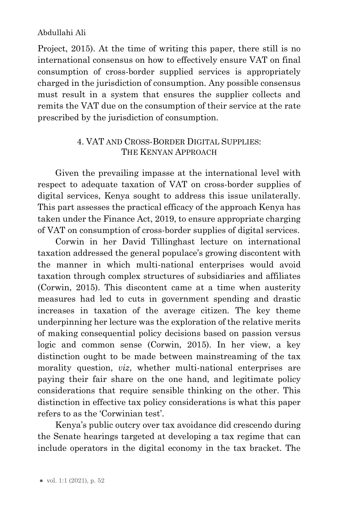Project, 2015). At the time of writing this paper, there still is no international consensus on how to effectively ensure VAT on final consumption of cross-border supplied services is appropriately charged in the jurisdiction of consumption. Any possible consensus must result in a system that ensures the supplier collects and remits the VAT due on the consumption of their service at the rate prescribed by the jurisdiction of consumption.

## <span id="page-15-0"></span>4. VAT AND CROSS-BORDER DIGITAL SUPPLIES: THE KENYAN APPROACH

Given the prevailing impasse at the international level with respect to adequate taxation of VAT on cross-border supplies of digital services, Kenya sought to address this issue unilaterally. This part assesses the practical efficacy of the approach Kenya has taken under the Finance Act, 2019, to ensure appropriate charging of VAT on consumption of cross-border supplies of digital services.

Corwin in her David Tillinghast lecture on international taxation addressed the general populace's growing discontent with the manner in which multi-national enterprises would avoid taxation through complex structures of subsidiaries and affiliates (Corwin, 2015). This discontent came at a time when austerity measures had led to cuts in government spending and drastic increases in taxation of the average citizen. The key theme underpinning her lecture was the exploration of the relative merits of making consequential policy decisions based on passion versus logic and common sense (Corwin, 2015). In her view, a key distinction ought to be made between mainstreaming of the tax morality question, *viz*, whether multi-national enterprises are paying their fair share on the one hand, and legitimate policy considerations that require sensible thinking on the other. This distinction in effective tax policy considerations is what this paper refers to as the 'Corwinian test'.

Kenya's public outcry over tax avoidance did crescendo during the Senate hearings targeted at developing a tax regime that can include operators in the digital economy in the tax bracket. The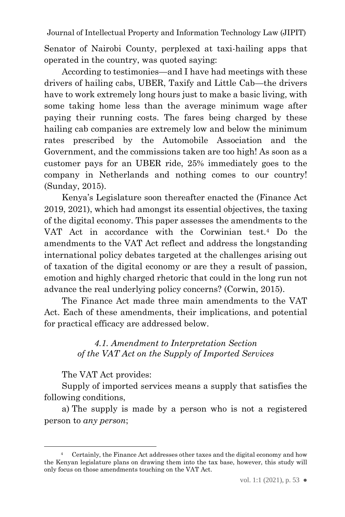Senator of Nairobi County, perplexed at taxi-hailing apps that operated in the country, was quoted saying:

According to testimonies—and I have had meetings with these drivers of hailing cabs, UBER, Taxify and Little Cab—the drivers have to work extremely long hours just to make a basic living, with some taking home less than the average minimum wage after paying their running costs. The fares being charged by these hailing cab companies are extremely low and below the minimum rates prescribed by the Automobile Association and the Government, and the commissions taken are too high! As soon as a customer pays for an UBER ride, 25% immediately goes to the company in Netherlands and nothing comes to our country! (Sunday, 2015).

Kenya's Legislature soon thereafter enacted the (Finance Act 2019, 2021), which had amongst its essential objectives, the taxing of the digital economy. This paper assesses the amendments to the VAT Act in accordance with the Corwinian test.<sup>4</sup> Do the amendments to the VAT Act reflect and address the longstanding international policy debates targeted at the challenges arising out of taxation of the digital economy or are they a result of passion, emotion and highly charged rhetoric that could in the long run not advance the real underlying policy concerns? (Corwin, 2015).

<span id="page-16-0"></span>The Finance Act made three main amendments to the VAT Act. Each of these amendments, their implications, and potential for practical efficacy are addressed below.

## *4.1. Amendment to Interpretation Section of the VAT Act on the Supply of Imported Services*

The VAT Act provides:

Supply of imported services means a supply that satisfies the following conditions,

a) The supply is made by a person who is not a registered person to *any person*;

<sup>4</sup> Certainly, the Finance Act addresses other taxes and the digital economy and how the Kenyan legislature plans on drawing them into the tax base, however, this study will only focus on those amendments touching on the VAT Act.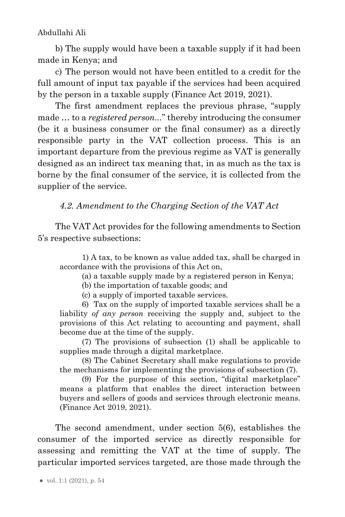b) The supply would have been a taxable supply if it had been made in Kenya; and

c) The person would not have been entitled to a credit for the full amount of input tax payable if the services had been acquired by the person in a taxable supply (Finance Act 2019, 2021).

The first amendment replaces the previous phrase, "supply made … to a *registered person...*" thereby introducing the consumer (be it a business consumer or the final consumer) as a directly responsible party in the VAT collection process. This is an important departure from the previous regime as VAT is generally designed as an indirect tax meaning that, in as much as the tax is borne by the final consumer of the service, it is collected from the supplier of the service.

<span id="page-17-0"></span>*4.2. Amendment to the Charging Section of the VAT Act*

The VAT Act provides for the following amendments to Section 5's respective subsections:

1) A tax, to be known as value added tax, shall be charged in accordance with the provisions of this Act on,

(a) a taxable supply made by a registered person in Kenya;

(b) the importation of taxable goods; and

(c) a supply of imported taxable services.

6) Tax on the supply of imported taxable services shall be a liability *of any person* receiving the supply and, subject to the provisions of this Act relating to accounting and payment, shall become due at the time of the supply.

(7) The provisions of subsection (1) shall be applicable to supplies made through a digital marketplace.

(8) The Cabinet Secretary shall make regulations to provide the mechanisms for implementing the provisions of subsection (7).

(9) For the purpose of this section, "digital marketplace" means a platform that enables the direct interaction between buyers and sellers of goods and services through electronic means. (Finance Act 2019, 2021).

The second amendment, under section 5(6), establishes the consumer of the imported service as directly responsible for assessing and remitting the VAT at the time of supply. The particular imported services targeted, are those made through the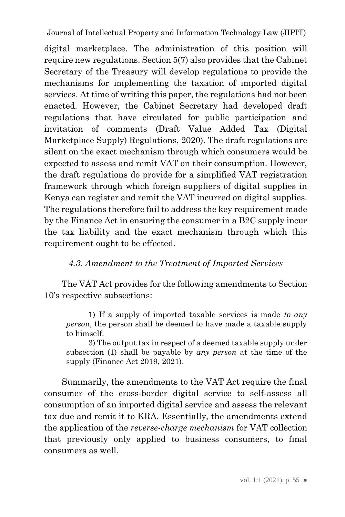digital marketplace. The administration of this position will require new regulations. Section 5(7) also provides that the Cabinet Secretary of the Treasury will develop regulations to provide the mechanisms for implementing the taxation of imported digital services. At time of writing this paper, the regulations had not been enacted. However, the Cabinet Secretary had developed draft regulations that have circulated for public participation and invitation of comments (Draft Value Added Tax (Digital Marketplace Supply) Regulations, 2020). The draft regulations are silent on the exact mechanism through which consumers would be expected to assess and remit VAT on their consumption. However, the draft regulations do provide for a simplified VAT registration framework through which foreign suppliers of digital supplies in Kenya can register and remit the VAT incurred on digital supplies. The regulations therefore fail to address the key requirement made by the Finance Act in ensuring the consumer in a B2C supply incur the tax liability and the exact mechanism through which this requirement ought to be effected.

# <span id="page-18-0"></span>*4.3. Amendment to the Treatment of Imported Services*

The VAT Act provides for the following amendments to Section 10's respective subsections:

1) If a supply of imported taxable services is made *to any perso*n, the person shall be deemed to have made a taxable supply to himself.

3) The output tax in respect of a deemed taxable supply under subsection (1) shall be payable by *any person* at the time of the supply (Finance Act 2019, 2021).

Summarily, the amendments to the VAT Act require the final consumer of the cross-border digital service to self-assess all consumption of an imported digital service and assess the relevant tax due and remit it to KRA. Essentially, the amendments extend the application of the *reverse-charge mechanism* for VAT collection that previously only applied to business consumers, to final consumers as well.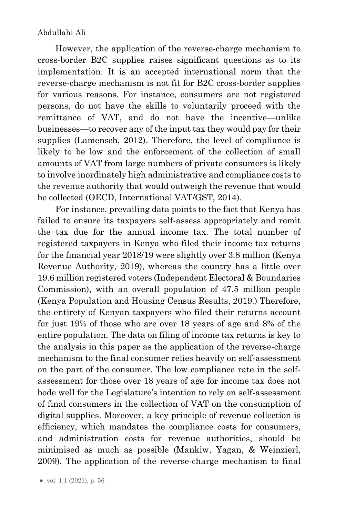However, the application of the reverse-charge mechanism to cross-border B2C supplies raises significant questions as to its implementation. It is an accepted international norm that the reverse-charge mechanism is not fit for B2C cross-border supplies for various reasons. For instance, consumers are not registered persons, do not have the skills to voluntarily proceed with the remittance of VAT, and do not have the incentive—unlike businesses—to recover any of the input tax they would pay for their supplies (Lamensch, 2012). Therefore, the level of compliance is likely to be low and the enforcement of the collection of small amounts of VAT from large numbers of private consumers is likely to involve inordinately high administrative and compliance costs to the revenue authority that would outweigh the revenue that would be collected (OECD, International VAT/GST, 2014).

For instance, prevailing data points to the fact that Kenya has failed to ensure its taxpayers self-assess appropriately and remit the tax due for the annual income tax. The total number of registered taxpayers in Kenya who filed their income tax returns for the financial year 2018/19 were slightly over 3.8 million (Kenya Revenue Authority, 2019), whereas the country has a little over 19.6 million registered voters (Independent Electoral & Boundaries Commission), with an overall population of 47.5 million people (Kenya Population and Housing Census Results, 2019.) Therefore, the entirety of Kenyan taxpayers who filed their returns account for just 19% of those who are over 18 years of age and 8% of the entire population. The data on filing of income tax returns is key to the analysis in this paper as the application of the reverse-charge mechanism to the final consumer relies heavily on self-assessment on the part of the consumer. The low compliance rate in the selfassessment for those over 18 years of age for income tax does not bode well for the Legislature's intention to rely on self-assessment of final consumers in the collection of VAT on the consumption of digital supplies. Moreover, a key principle of revenue collection is efficiency, which mandates the compliance costs for consumers, and administration costs for revenue authorities, should be minimised as much as possible (Mankiw, Yagan, & Weinzierl, 2009). The application of the reverse-charge mechanism to final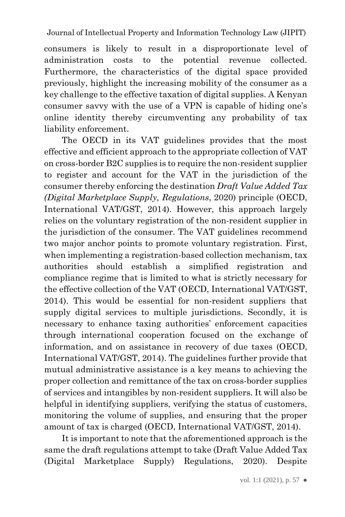consumers is likely to result in a disproportionate level of administration costs to the potential revenue collected. Furthermore, the characteristics of the digital space provided previously, highlight the increasing mobility of the consumer as a key challenge to the effective taxation of digital supplies. A Kenyan consumer savvy with the use of a VPN is capable of hiding one's online identity thereby circumventing any probability of tax liability enforcement.

The OECD in its VAT guidelines provides that the most effective and efficient approach to the appropriate collection of VAT on cross-border B2C supplies is to require the non-resident supplier to register and account for the VAT in the jurisdiction of the consumer thereby enforcing the destination *Draft Value Added Tax (Digital Marketplace Supply, Regulations*, 2020) principle (OECD, International VAT/GST, 2014). However, this approach largely relies on the voluntary registration of the non-resident supplier in the jurisdiction of the consumer. The VAT guidelines recommend two major anchor points to promote voluntary registration. First, when implementing a registration-based collection mechanism, tax authorities should establish a simplified registration and compliance regime that is limited to what is strictly necessary for the effective collection of the VAT (OECD, International VAT/GST, 2014). This would be essential for non-resident suppliers that supply digital services to multiple jurisdictions. Secondly, it is necessary to enhance taxing authorities' enforcement capacities through international cooperation focused on the exchange of information, and on assistance in recovery of due taxes (OECD, International VAT/GST, 2014). The guidelines further provide that mutual administrative assistance is a key means to achieving the proper collection and remittance of the tax on cross-border supplies of services and intangibles by non-resident suppliers. It will also be helpful in identifying suppliers, verifying the status of customers, monitoring the volume of supplies, and ensuring that the proper amount of tax is charged (OECD, International VAT/GST, 2014).

It is important to note that the aforementioned approach is the same the draft regulations attempt to take (Draft Value Added Tax (Digital Marketplace Supply) Regulations, 2020). Despite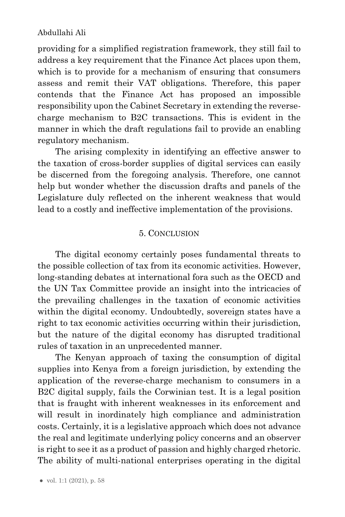providing for a simplified registration framework, they still fail to address a key requirement that the Finance Act places upon them, which is to provide for a mechanism of ensuring that consumers assess and remit their VAT obligations. Therefore, this paper contends that the Finance Act has proposed an impossible responsibility upon the Cabinet Secretary in extending the reversecharge mechanism to B2C transactions. This is evident in the manner in which the draft regulations fail to provide an enabling regulatory mechanism.

The arising complexity in identifying an effective answer to the taxation of cross-border supplies of digital services can easily be discerned from the foregoing analysis. Therefore, one cannot help but wonder whether the discussion drafts and panels of the Legislature duly reflected on the inherent weakness that would lead to a costly and ineffective implementation of the provisions.

#### 5. CONCLUSION

<span id="page-21-0"></span>The digital economy certainly poses fundamental threats to the possible collection of tax from its economic activities. However, long-standing debates at international fora such as the OECD and the UN Tax Committee provide an insight into the intricacies of the prevailing challenges in the taxation of economic activities within the digital economy. Undoubtedly, sovereign states have a right to tax economic activities occurring within their jurisdiction, but the nature of the digital economy has disrupted traditional rules of taxation in an unprecedented manner.

The Kenyan approach of taxing the consumption of digital supplies into Kenya from a foreign jurisdiction, by extending the application of the reverse-charge mechanism to consumers in a B2C digital supply, fails the Corwinian test. It is a legal position that is fraught with inherent weaknesses in its enforcement and will result in inordinately high compliance and administration costs. Certainly, it is a legislative approach which does not advance the real and legitimate underlying policy concerns and an observer is right to see it as a product of passion and highly charged rhetoric. The ability of multi-national enterprises operating in the digital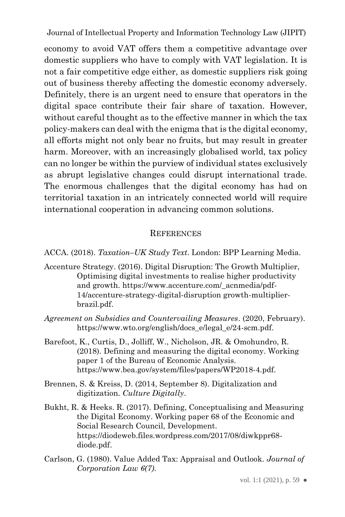economy to avoid VAT offers them a competitive advantage over domestic suppliers who have to comply with VAT legislation. It is not a fair competitive edge either, as domestic suppliers risk going out of business thereby affecting the domestic economy adversely. Definitely, there is an urgent need to ensure that operators in the digital space contribute their fair share of taxation. However, without careful thought as to the effective manner in which the tax policy-makers can deal with the enigma that is the digital economy, all efforts might not only bear no fruits, but may result in greater harm. Moreover, with an increasingly globalised world, tax policy can no longer be within the purview of individual states exclusively as abrupt legislative changes could disrupt international trade. The enormous challenges that the digital economy has had on territorial taxation in an intricately connected world will require international cooperation in advancing common solutions.

#### **REFERENCES**

<span id="page-22-0"></span>ACCA. (2018). *Taxation–UK Study Text*. London: BPP Learning Media.

- Accenture Strategy. (2016). Digital Disruption: The Growth Multiplier, Optimising digital investments to realise higher productivity and growth. https://www.accenture.com/\_acnmedia/pdf-14/accenture-strategy-digital-disruption growth-multiplierbrazil.pdf.
- *Agreement on Subsidies and Countervailing Measures*. (2020, February). https://www.wto.org/english/docs\_e/legal\_e/24-scm.pdf.
- Barefoot, K., Curtis, D., Jolliff, W., Nicholson, JR. & Omohundro, R. (2018). Defining and measuring the digital economy. Working paper 1 of the Bureau of Economic Analysis. https://www.bea.gov/system/files/papers/WP2018-4.pdf.
- Brennen, S. & Kreiss, D. (2014, September 8). Digitalization and digitization. *Culture Digitally*.
- Bukht, R. & Heeks. R. (2017). Defining, Conceptualising and Measuring the Digital Economy. Working paper 68 of the Economic and Social Research Council, Development. https://diodeweb.files.wordpress.com/2017/08/diwkppr68 diode.pdf.
- Carlson, G. (1980). Value Added Tax: Appraisal and Outlook. *Journal of Corporation Law 6(7)*.

vol. 1:1 (2021), p. 59  $\bullet$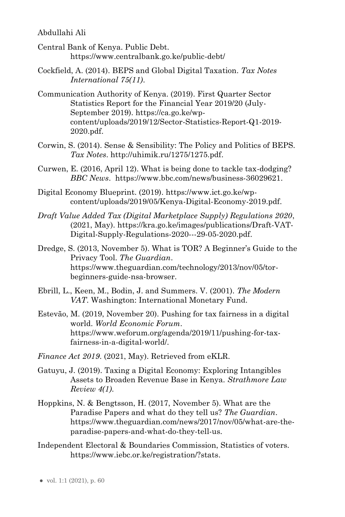- Central Bank of Kenya. Public Debt. https://www.centralbank.go.ke/public-debt/
- Cockfield, A. (2014). BEPS and Global Digital Taxation. *Tax Notes International 75(11)*.
- Communication Authority of Kenya. (2019). First Quarter Sector Statistics Report for the Financial Year 2019/20 (July-September 2019). https://ca.go.ke/wpcontent/uploads/2019/12/Sector-Statistics-Report-Q1-2019- 2020.pdf.
- Corwin, S. (2014). Sense & Sensibility: The Policy and Politics of BEPS. *Tax Notes*. http://uhimik.ru/1275/1275.pdf.
- Curwen, E. (2016, April 12). What is being done to tackle tax-dodging? *BBC News*. https://www.bbc.com/news/business-36029621.
- Digital Economy Blueprint. (2019). https://www.ict.go.ke/wpcontent/uploads/2019/05/Kenya-Digital-Economy-2019.pdf.
- *Draft Value Added Tax (Digital Marketplace Supply) Regulations 2020*, (2021, May). https://kra.go.ke/images/publications/Draft-VAT-Digital-Supply-Regulations-2020---29-05-2020.pdf.
- Dredge, S. (2013, November 5). What is TOR? A Beginner's Guide to the Privacy Tool. *The Guardian*. https://www.theguardian.com/technology/2013/nov/05/torbeginners-guide-nsa-browser.
- Ebrill, L., Keen, M., Bodin, J. and Summers. V. (2001). *The Modern VAT*. Washington: International Monetary Fund.
- Estevão, M. (2019, November 20). Pushing for tax fairness in a digital world. *World Economic Forum*. https://www.weforum.org/agenda/2019/11/pushing-for-taxfairness-in-a-digital-world/.
- *Finance Act 2019*. (2021, May). Retrieved from eKLR.
- Gatuyu, J. (2019). Taxing a Digital Economy: Exploring Intangibles Assets to Broaden Revenue Base in Kenya. *Strathmore Law Review 4(1)*.
- Hoppkins, N. & Bengtsson, H. (2017, November 5). What are the Paradise Papers and what do they tell us? *The Guardian*. https://www.theguardian.com/news/2017/nov/05/what-are-theparadise-papers-and-what-do-they-tell-us.
- Independent Electoral & Boundaries Commission, Statistics of voters. https://www.iebc.or.ke/registration/?stats.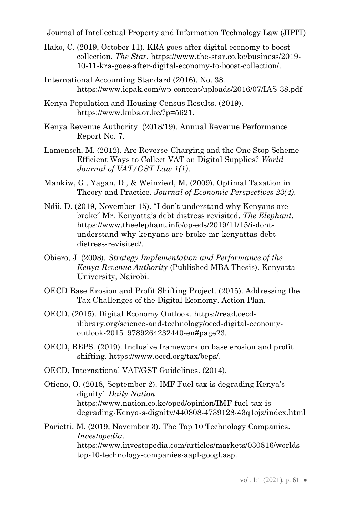- Ilako, C. (2019, October 11). KRA goes after digital economy to boost collection. *The Star*. https://www.the-star.co.ke/business/2019- 10-11-kra-goes-after-digital-economy-to-boost-collection/.
- International Accounting Standard (2016). No. 38. https://www.icpak.com/wp-content/uploads/2016/07/IAS-38.pdf
- Kenya Population and Housing Census Results. (2019). https://www.knbs.or.ke/?p=5621.
- Kenya Revenue Authority. (2018/19). Annual Revenue Performance Report No. 7.
- Lamensch, M. (2012). Are Reverse-Charging and the One Stop Scheme Efficient Ways to Collect VAT on Digital Supplies? *World Journal of VAT/GST Law 1(1)*.
- Mankiw, G., Yagan, D., & Weinzierl, M. (2009). Optimal Taxation in Theory and Practice. *Journal of Economic Perspectives 23(4)*.
- Ndii, D. (2019, November 15). ''I don't understand why Kenyans are broke'' Mr. Kenyatta's debt distress revisited. *The Elephant*. https://www.theelephant.info/op-eds/2019/11/15/i-dontunderstand-why-kenyans-are-broke-mr-kenyattas-debtdistress-revisited/.
- Obiero, J. (2008). *Strategy Implementation and Performance of the Kenya Revenue Authority* (Published MBA Thesis). Kenyatta University, Nairobi.
- OECD Base Erosion and Profit Shifting Project. (2015). Addressing the Tax Challenges of the Digital Economy. Action Plan.
- OECD. (2015). Digital Economy Outlook. https://read.oecdilibrary.org/science-and-technology/oecd-digital-economyoutlook-2015\_9789264232440-en#page23.
- OECD, BEPS. (2019). Inclusive framework on base erosion and profit shifting. https://www.oecd.org/tax/beps/.
- OECD, International VAT/GST Guidelines. (2014).
- Otieno, O. (2018, September 2). IMF Fuel tax is degrading Kenya's dignity'. *Daily Nation*. https://www.nation.co.ke/oped/opinion/IMF-fuel-tax-isdegrading-Kenya-s-dignity/440808-4739128-43q1ojz/index.html

Parietti, M. (2019, November 3). The Top 10 Technology Companies. *Investopedia*. https://www.investopedia.com/articles/markets/030816/worldstop-10-technology-companies-aapl-googl.asp.